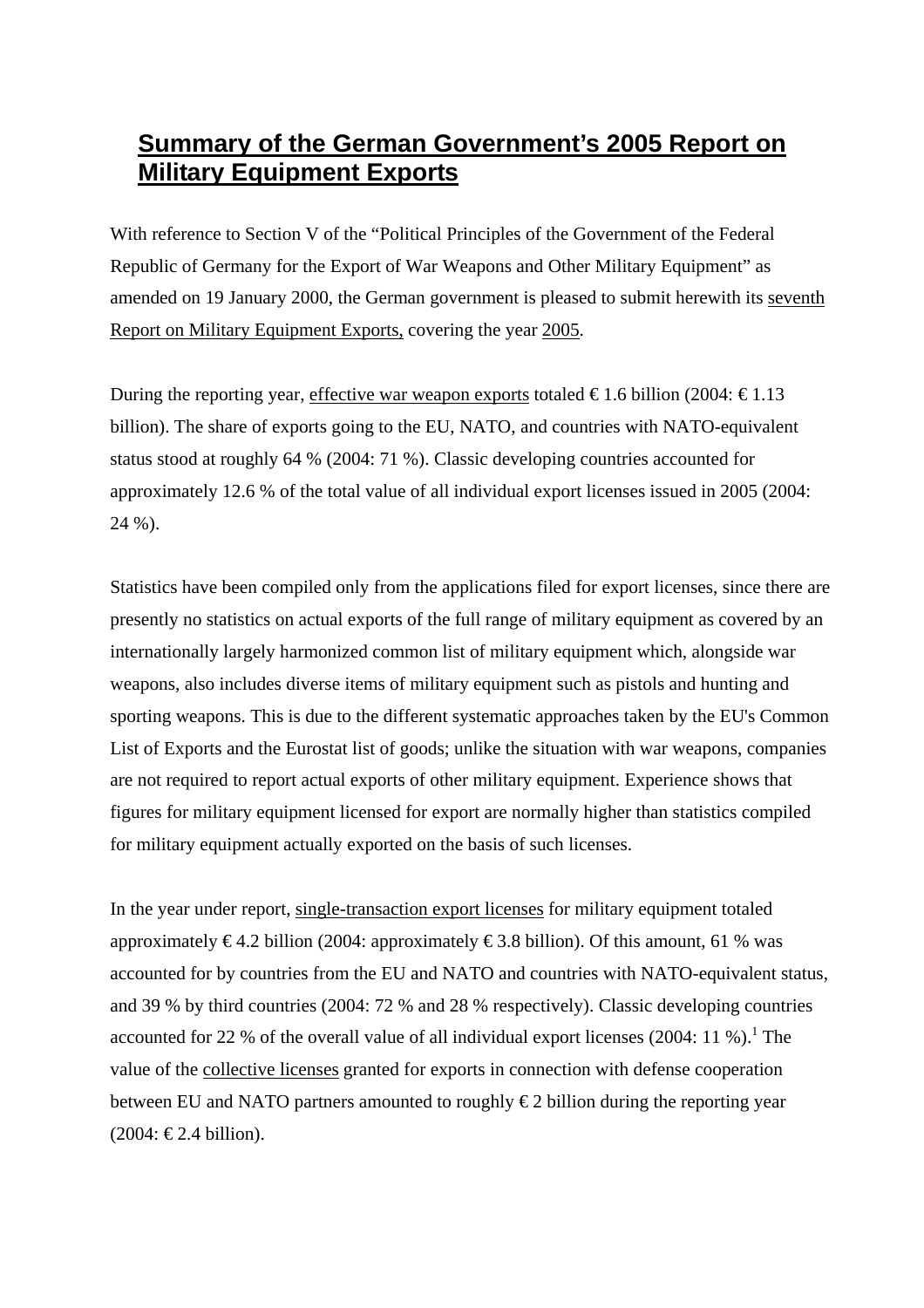## **Summary of the German Government's 2005 Report on Military Equipment Exports**

With reference to Section V of the "Political Principles of the Government of the Federal Republic of Germany for the Export of War Weapons and Other Military Equipment" as amended on 19 January 2000, the German government is pleased to submit herewith its seventh Report on Military Equipment Exports, covering the year 2005.

During the reporting year, effective war weapon exports totaled  $\epsilon$ 1.6 billion (2004:  $\epsilon$ 1.13 billion). The share of exports going to the EU, NATO, and countries with NATO-equivalent status stood at roughly 64 % (2004: 71 %). Classic developing countries accounted for approximately 12.6 % of the total value of all individual export licenses issued in 2005 (2004: 24 %).

Statistics have been compiled only from the applications filed for export licenses, since there are presently no statistics on actual exports of the full range of military equipment as covered by an internationally largely harmonized common list of military equipment which, alongside war weapons, also includes diverse items of military equipment such as pistols and hunting and sporting weapons. This is due to the different systematic approaches taken by the EU's Common List of Exports and the Eurostat list of goods; unlike the situation with war weapons, companies are not required to report actual exports of other military equipment. Experience shows that figures for military equipment licensed for export are normally higher than statistics compiled for military equipment actually exported on the basis of such licenses.

<span id="page-0-0"></span>In the year under report, single-transaction export licenses for military equipment totaled approximately  $\epsilon$ 4.2 billion (2004: approximately  $\epsilon$ 3.8 billion). Of this amount, 61 % was accounted for by countries from the EU and NATO and countries with NATO-equivalent status, and 39 % by third countries (2004: 72 % and 28 % respectively). Classic developing countries accounted for 22 % of the overall value of all individual export licenses (2004: [1](#page-0-0)1 %).<sup>1</sup> The value of the collective licenses granted for exports in connection with defense cooperation between EU and NATO partners amounted to roughly  $\epsilon$ 2 billion during the reporting year  $(2004: €2.4 billion).$